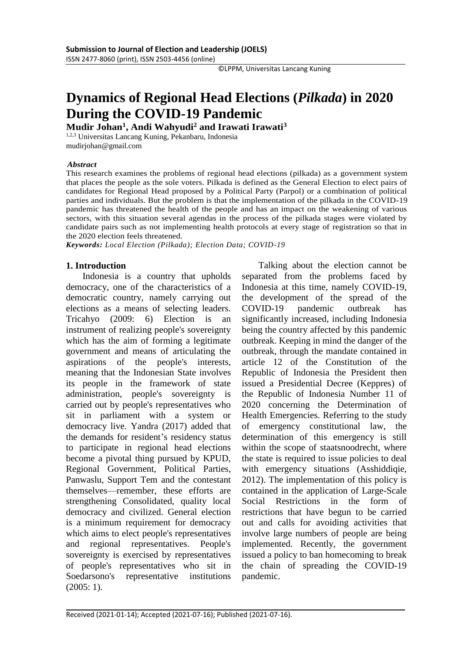©LPPM, Universitas Lancang Kuning

# **Dynamics of Regional Head Elections (***Pilkada***) in 2020 During the COVID-19 Pandemic**

**Mudir Johan<sup>1</sup> , Andi Wahyudi<sup>2</sup> and Irawati Irawati<sup>3</sup>**

1,2,3 Universitas Lancang Kuning, Pekanbaru, Indonesia mudirjohan@gmail.com

#### *Abstract*

This research examines the problems of regional head elections (pilkada) as a government system that places the people as the sole voters. Pilkada is defined as the General Election to elect pairs of candidates for Regional Head proposed by a Political Party (Parpol) or a combination of political parties and individuals. But the problem is that the implementation of the pilkada in the COVID-19 pandemic has threatened the health of the people and has an impact on the weakening of various sectors, with this situation several agendas in the process of the pilkada stages were violated by candidate pairs such as not implementing health protocols at every stage of registration so that in the 2020 election feels threatened.

*Keywords: Local Election (Pilkada); Election Data; COVID-19*

# **1. Introduction**

Indonesia is a country that upholds democracy, one of the characteristics of a democratic country, namely carrying out elections as a means of selecting leaders. Tricahyo (2009: 6) Election is an instrument of realizing people's sovereignty which has the aim of forming a legitimate government and means of articulating the aspirations of the people's interests, meaning that the Indonesian State involves its people in the framework of state administration, people's sovereignty is carried out by people's representatives who sit in parliament with a system or democracy live. Yandra (2017) added that the demands for resident's residency status to participate in regional head elections become a pivotal thing pursued by KPUD, Regional Government, Political Parties, Panwaslu, Support Tem and the contestant themselves—remember, these efforts are strengthening Consolidated, quality local democracy and civilized. General election is a minimum requirement for democracy which aims to elect people's representatives and regional representatives. People's sovereignty is exercised by representatives of people's representatives who sit in Soedarsono's representative institutions (2005: 1).

Talking about the election cannot be separated from the problems faced by Indonesia at this time, namely COVID-19, the development of the spread of the COVID-19 pandemic outbreak has significantly increased, including Indonesia being the country affected by this pandemic outbreak. Keeping in mind the danger of the outbreak, through the mandate contained in article 12 of the Constitution of the Republic of Indonesia the President then issued a Presidential Decree (Keppres) of the Republic of Indonesia Number 11 of 2020 concerning the Determination of Health Emergencies. Referring to the study of emergency constitutional law, the determination of this emergency is still within the scope of staatsnoodrecht, where the state is required to issue policies to deal with emergency situations (Asshiddiqie, 2012). The implementation of this policy is contained in the application of Large-Scale Social Restrictions in the form of restrictions that have begun to be carried out and calls for avoiding activities that involve large numbers of people are being implemented. Recently, the government issued a policy to ban homecoming to break the chain of spreading the COVID-19 pandemic.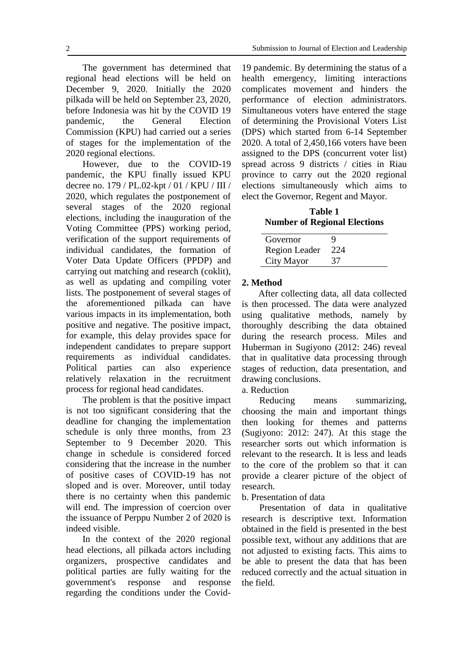The government has determined that regional head elections will be held on December 9, 2020. Initially the 2020 pilkada will be held on September 23, 2020, before Indonesia was hit by the COVID 19 pandemic, the General Election Commission (KPU) had carried out a series of stages for the implementation of the 2020 regional elections.

However, due to the COVID-19 pandemic, the KPU finally issued KPU decree no. 179 / PL.02-kpt / 01 / KPU / III / 2020, which regulates the postponement of several stages of the 2020 regional elections, including the inauguration of the Voting Committee (PPS) working period, verification of the support requirements of individual candidates, the formation of Voter Data Update Officers (PPDP) and carrying out matching and research (coklit), as well as updating and compiling voter lists. The postponement of several stages of the aforementioned pilkada can have various impacts in its implementation, both positive and negative. The positive impact, for example, this delay provides space for independent candidates to prepare support requirements as individual candidates. Political parties can also experience relatively relaxation in the recruitment process for regional head candidates.

The problem is that the positive impact is not too significant considering that the deadline for changing the implementation schedule is only three months, from 23 September to 9 December 2020. This change in schedule is considered forced considering that the increase in the number of positive cases of COVID-19 has not sloped and is over. Moreover, until today there is no certainty when this pandemic will end. The impression of coercion over the issuance of Perppu Number 2 of 2020 is indeed visible.

In the context of the 2020 regional head elections, all pilkada actors including organizers, prospective candidates and political parties are fully waiting for the government's response and response regarding the conditions under the Covid-

19 pandemic. By determining the status of a health emergency, limiting interactions complicates movement and hinders the performance of election administrators. Simultaneous voters have entered the stage of determining the Provisional Voters List (DPS) which started from 6-14 September 2020. A total of 2,450,166 voters have been assigned to the DPS (concurrent voter list) spread across 9 districts / cities in Riau province to carry out the 2020 regional elections simultaneously which aims to elect the Governor, Regent and Mayor.

**Table 1 Number of Regional Elections**

| Governor             |     |
|----------------------|-----|
| <b>Region Leader</b> | 224 |
| City Mayor           | 37  |

#### **2. Method**

After collecting data, all data collected is then processed. The data were analyzed using qualitative methods, namely by thoroughly describing the data obtained during the research process. Miles and Huberman in Sugiyono (2012: 246) reveal that in qualitative data processing through stages of reduction, data presentation, and drawing conclusions.

a. Reduction

Reducing means summarizing, choosing the main and important things then looking for themes and patterns (Sugiyono: 2012: 247). At this stage the researcher sorts out which information is relevant to the research. It is less and leads to the core of the problem so that it can provide a clearer picture of the object of research.

b. Presentation of data

Presentation of data in qualitative research is descriptive text. Information obtained in the field is presented in the best possible text, without any additions that are not adjusted to existing facts. This aims to be able to present the data that has been reduced correctly and the actual situation in the field.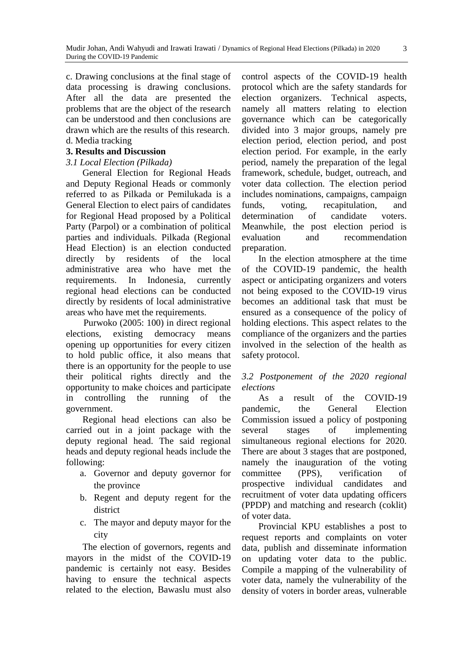c. Drawing conclusions at the final stage of data processing is drawing conclusions. After all the data are presented the problems that are the object of the research can be understood and then conclusions are drawn which are the results of this research. d. Media tracking

## **3. Results and Discussion**

## *3.1 Local Election (Pilkada)*

General Election for Regional Heads and Deputy Regional Heads or commonly referred to as Pilkada or Pemilukada is a General Election to elect pairs of candidates for Regional Head proposed by a Political Party (Parpol) or a combination of political parties and individuals. Pilkada (Regional Head Election) is an election conducted directly by residents of the local administrative area who have met the requirements. In Indonesia, currently regional head elections can be conducted directly by residents of local administrative areas who have met the requirements.

Purwoko (2005: 100) in direct regional elections, existing democracy means opening up opportunities for every citizen to hold public office, it also means that there is an opportunity for the people to use their political rights directly and the opportunity to make choices and participate in controlling the running of the government.

Regional head elections can also be carried out in a joint package with the deputy regional head. The said regional heads and deputy regional heads include the following:

- a. Governor and deputy governor for the province
- b. Regent and deputy regent for the district
- c. The mayor and deputy mayor for the city

The election of governors, regents and mayors in the midst of the COVID-19 pandemic is certainly not easy. Besides having to ensure the technical aspects related to the election, Bawaslu must also

control aspects of the COVID-19 health protocol which are the safety standards for election organizers. Technical aspects, namely all matters relating to election governance which can be categorically divided into 3 major groups, namely pre election period, election period, and post election period. For example, in the early period, namely the preparation of the legal framework, schedule, budget, outreach, and voter data collection. The election period includes nominations, campaigns, campaign funds, voting, recapitulation, and determination of candidate voters. Meanwhile, the post election period is evaluation and recommendation preparation.

In the election atmosphere at the time of the COVID-19 pandemic, the health aspect or anticipating organizers and voters not being exposed to the COVID-19 virus becomes an additional task that must be ensured as a consequence of the policy of holding elections. This aspect relates to the compliance of the organizers and the parties involved in the selection of the health as safety protocol.

# *3.2 Postponement of the 2020 regional elections*

As a result of the COVID-19 pandemic, the General Election Commission issued a policy of postponing several stages of implementing simultaneous regional elections for 2020. There are about 3 stages that are postponed, namely the inauguration of the voting committee (PPS), verification of prospective individual candidates and recruitment of voter data updating officers (PPDP) and matching and research (coklit) of voter data.

Provincial KPU establishes a post to request reports and complaints on voter data, publish and disseminate information on updating voter data to the public. Compile a mapping of the vulnerability of voter data, namely the vulnerability of the density of voters in border areas, vulnerable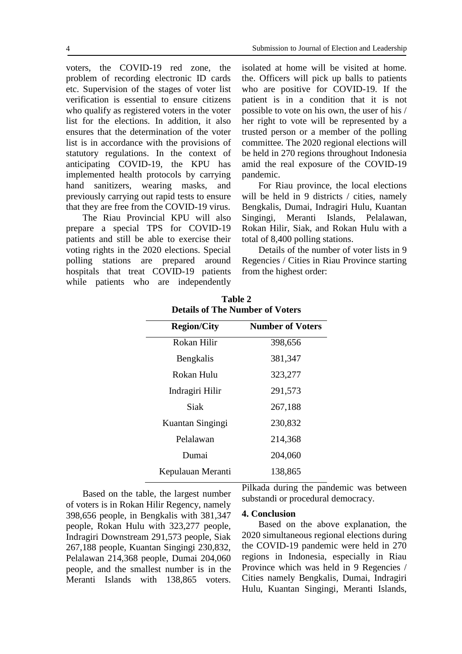voters, the COVID-19 red zone, the problem of recording electronic ID cards etc. Supervision of the stages of voter list verification is essential to ensure citizens who qualify as registered voters in the voter list for the elections. In addition, it also ensures that the determination of the voter list is in accordance with the provisions of statutory regulations. In the context of anticipating COVID-19, the KPU has implemented health protocols by carrying hand sanitizers, wearing masks, and previously carrying out rapid tests to ensure that they are free from the COVID-19 virus.

The Riau Provincial KPU will also prepare a special TPS for COVID-19 patients and still be able to exercise their voting rights in the 2020 elections. Special polling stations are prepared around hospitals that treat COVID-19 patients while patients who are independently

isolated at home will be visited at home. the. Officers will pick up balls to patients who are positive for COVID-19. If the patient is in a condition that it is not possible to vote on his own, the user of his / her right to vote will be represented by a trusted person or a member of the polling committee. The 2020 regional elections will be held in 270 regions throughout Indonesia amid the real exposure of the COVID-19 pandemic.

For Riau province, the local elections will be held in 9 districts / cities, namely Bengkalis, Dumai, Indragiri Hulu, Kuantan Singingi, Meranti Islands, Pelalawan, Rokan Hilir, Siak, and Rokan Hulu with a total of 8,400 polling stations.

Details of the number of voter lists in 9 Regencies / Cities in Riau Province starting from the highest order:

| <b>Region/City</b> | <b>Number of Voters</b> |
|--------------------|-------------------------|
| Rokan Hilir        | 398,656                 |
| Bengkalis          | 381,347                 |
| Rokan Hulu         | 323,277                 |
| Indragiri Hilir    | 291,573                 |
| Siak               | 267,188                 |
| Kuantan Singingi   | 230,832                 |
| Pelalawan          | 214,368                 |
| Dumai              | 204,060                 |
| Kepulauan Meranti  | 138,865                 |
|                    |                         |

**Table 2 Details of The Number of Voters**

Based on the table, the largest number of voters is in Rokan Hilir Regency, namely 398,656 people, in Bengkalis with 381,347 people, Rokan Hulu with 323,277 people, Indragiri Downstream 291,573 people, Siak 267,188 people, Kuantan Singingi 230,832, Pelalawan 214,368 people, Dumai 204,060 people, and the smallest number is in the Meranti Islands with 138,865 voters.

Pilkada during the pandemic was between substandi or procedural democracy.

#### **4. Conclusion**

Based on the above explanation, the 2020 simultaneous regional elections during the COVID-19 pandemic were held in 270 regions in Indonesia, especially in Riau Province which was held in 9 Regencies / Cities namely Bengkalis, Dumai, Indragiri Hulu, Kuantan Singingi, Meranti Islands,